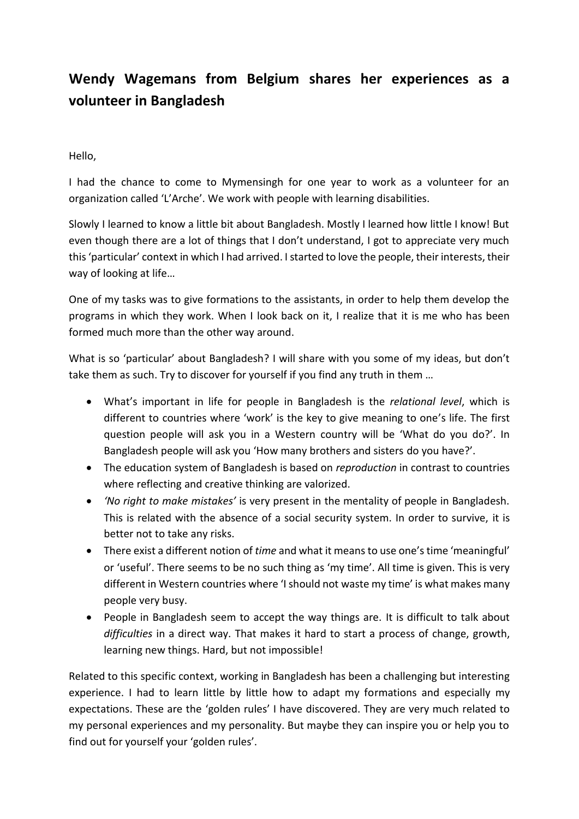# **Wendy Wagemans from Belgium shares her experiences as a volunteer in Bangladesh**

Hello,

I had the chance to come to Mymensingh for one year to work as a volunteer for an organization called 'L'Arche'. We work with people with learning disabilities.

Slowly I learned to know a little bit about Bangladesh. Mostly I learned how little I know! But even though there are a lot of things that I don't understand, I got to appreciate very much this 'particular' context in which I had arrived. I started to love the people, their interests, their way of looking at life…

One of my tasks was to give formations to the assistants, in order to help them develop the programs in which they work. When I look back on it, I realize that it is me who has been formed much more than the other way around.

What is so 'particular' about Bangladesh? I will share with you some of my ideas, but don't take them as such. Try to discover for yourself if you find any truth in them …

- What's important in life for people in Bangladesh is the *relational level*, which is different to countries where 'work' is the key to give meaning to one's life. The first question people will ask you in a Western country will be 'What do you do?'. In Bangladesh people will ask you 'How many brothers and sisters do you have?'.
- The education system of Bangladesh is based on *reproduction* in contrast to countries where reflecting and creative thinking are valorized.
- *'No right to make mistakes'* is very present in the mentality of people in Bangladesh. This is related with the absence of a social security system. In order to survive, it is better not to take any risks.
- There exist a different notion of *time* and what it means to use one's time 'meaningful' or 'useful'. There seems to be no such thing as 'my time'. All time is given. This is very different in Western countries where 'I should not waste my time' is what makes many people very busy.
- People in Bangladesh seem to accept the way things are. It is difficult to talk about *difficulties* in a direct way. That makes it hard to start a process of change, growth, learning new things. Hard, but not impossible!

Related to this specific context, working in Bangladesh has been a challenging but interesting experience. I had to learn little by little how to adapt my formations and especially my expectations. These are the 'golden rules' I have discovered. They are very much related to my personal experiences and my personality. But maybe they can inspire you or help you to find out for yourself your 'golden rules'.